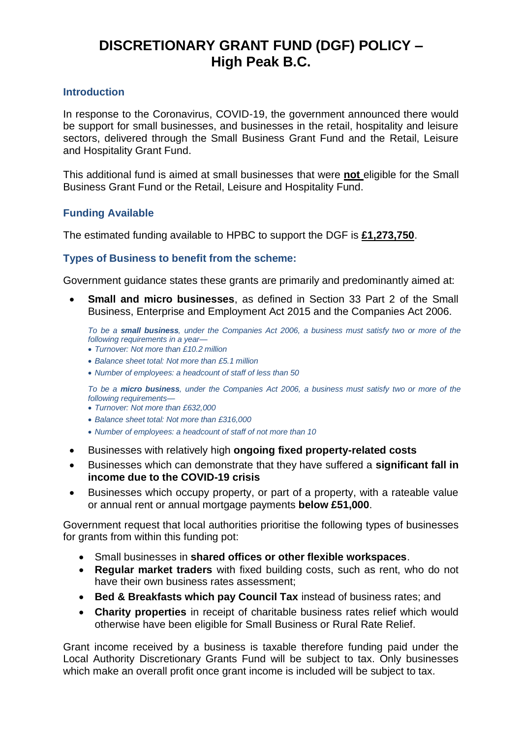# **DISCRETIONARY GRANT FUND (DGF) POLICY – High Peak B.C.**

# **Introduction**

In response to the Coronavirus, COVID-19, the government announced there would be support for small businesses, and businesses in the retail, hospitality and leisure sectors, delivered through the Small Business Grant Fund and the Retail, Leisure and Hospitality Grant Fund.

This additional fund is aimed at small businesses that were **not** eligible for the Small Business Grant Fund or the Retail, Leisure and Hospitality Fund.

# **Funding Available**

The estimated funding available to HPBC to support the DGF is **£1,273,750**.

# **Types of Business to benefit from the scheme:**

Government guidance states these grants are primarily and predominantly aimed at:

• **Small and micro businesses**, as defined in Section 33 Part 2 of the Small Business, Enterprise and Employment Act 2015 and the Companies Act 2006.

*To be a small business, under the Companies Act 2006, a business must satisfy two or more of the following requirements in a year—*

- *Turnover: Not more than £10.2 million*
- *Balance sheet total: Not more than £5.1 million*
- *Number of employees: a headcount of staff of less than 50*

*To be a micro business, under the Companies Act 2006, a business must satisfy two or more of the following requirements—*

- *Turnover: Not more than £632,000*
- *Balance sheet total: Not more than £316,000*
- *Number of employees: a headcount of staff of not more than 10*
- Businesses with relatively high **ongoing fixed property-related costs**
- Businesses which can demonstrate that they have suffered a **significant fall in income due to the COVID-19 crisis**
- Businesses which occupy property, or part of a property, with a rateable value or annual rent or annual mortgage payments **below £51,000**.

Government request that local authorities prioritise the following types of businesses for grants from within this funding pot:

- Small businesses in **shared offices or other flexible workspaces**.
- **Regular market traders** with fixed building costs, such as rent, who do not have their own business rates assessment;
- **Bed & Breakfasts which pay Council Tax** instead of business rates; and
- **Charity properties** in receipt of charitable business rates relief which would otherwise have been eligible for Small Business or Rural Rate Relief.

Grant income received by a business is taxable therefore funding paid under the Local Authority Discretionary Grants Fund will be subject to tax. Only businesses which make an overall profit once grant income is included will be subject to tax.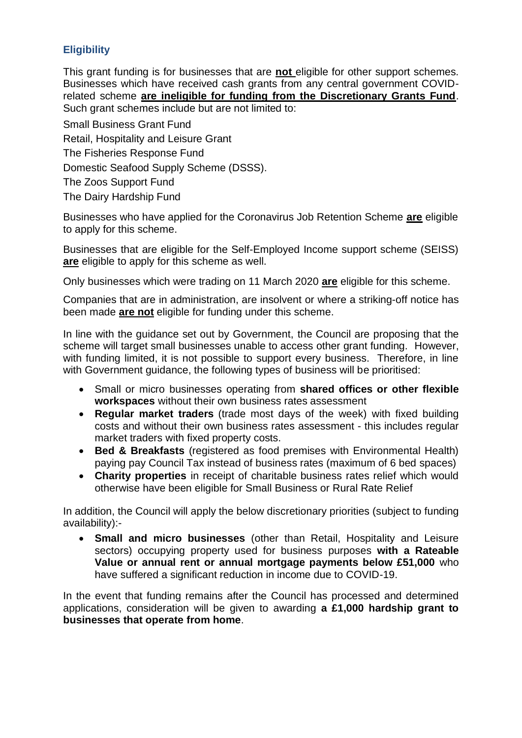# **Eligibility**

This grant funding is for businesses that are **not** eligible for other support schemes. Businesses which have received cash grants from any central government COVIDrelated scheme **are ineligible for funding from the Discretionary Grants Fund**. Such grant schemes include but are not limited to:

Small Business Grant Fund Retail, Hospitality and Leisure Grant The Fisheries Response Fund Domestic Seafood Supply Scheme (DSSS). The Zoos Support Fund The Dairy Hardship Fund

Businesses who have applied for the Coronavirus Job Retention Scheme **are** eligible to apply for this scheme.

Businesses that are eligible for the Self-Employed Income support scheme (SEISS) **are** eligible to apply for this scheme as well.

Only businesses which were trading on 11 March 2020 **are** eligible for this scheme.

Companies that are in administration, are insolvent or where a striking-off notice has been made **are not** eligible for funding under this scheme.

In line with the guidance set out by Government, the Council are proposing that the scheme will target small businesses unable to access other grant funding. However, with funding limited, it is not possible to support every business. Therefore, in line with Government guidance, the following types of business will be prioritised:

- Small or micro businesses operating from **shared offices or other flexible workspaces** without their own business rates assessment
- **Regular market traders** (trade most days of the week) with fixed building costs and without their own business rates assessment - this includes regular market traders with fixed property costs.
- **Bed & Breakfasts** (registered as food premises with Environmental Health) paying pay Council Tax instead of business rates (maximum of 6 bed spaces)
- **Charity properties** in receipt of charitable business rates relief which would otherwise have been eligible for Small Business or Rural Rate Relief

In addition, the Council will apply the below discretionary priorities (subject to funding availability):-

• **Small and micro businesses** (other than Retail, Hospitality and Leisure sectors) occupying property used for business purposes **with a Rateable Value or annual rent or annual mortgage payments below £51,000** who have suffered a significant reduction in income due to COVID-19.

In the event that funding remains after the Council has processed and determined applications, consideration will be given to awarding **a £1,000 hardship grant to businesses that operate from home**.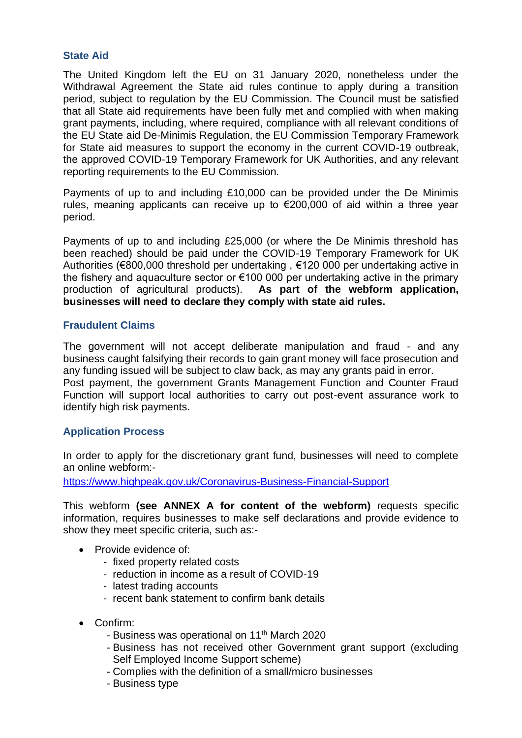# **State Aid**

The United Kingdom left the EU on 31 January 2020, nonetheless under the Withdrawal Agreement the State aid rules continue to apply during a transition period, subject to regulation by the EU Commission. The Council must be satisfied that all State aid requirements have been fully met and complied with when making grant payments, including, where required, compliance with all relevant conditions of the EU State aid De-Minimis Regulation, the EU Commission Temporary Framework for State aid measures to support the economy in the current COVID-19 outbreak, the approved COVID-19 Temporary Framework for UK Authorities, and any relevant reporting requirements to the EU Commission.

Payments of up to and including £10,000 can be provided under the De Minimis rules, meaning applicants can receive up to €200,000 of aid within a three year period.

Payments of up to and including £25,000 (or where the De Minimis threshold has been reached) should be paid under the COVID-19 Temporary Framework for UK Authorities (€800,000 threshold per undertaking , €120 000 per undertaking active in the fishery and aquaculture sector or €100 000 per undertaking active in the primary production of agricultural products). **As part of the webform application, businesses will need to declare they comply with state aid rules.**

# **Fraudulent Claims**

The government will not accept deliberate manipulation and fraud - and any business caught falsifying their records to gain grant money will face prosecution and any funding issued will be subject to claw back, as may any grants paid in error. Post payment, the government Grants Management Function and Counter Fraud Function will support local authorities to carry out post-event assurance work to identify high risk payments.

# **Application Process**

In order to apply for the discretionary grant fund, businesses will need to complete an online webform:-

<https://www.highpeak.gov.uk/Coronavirus-Business-Financial-Support>

This webform **(see ANNEX A for content of the webform)** requests specific information, requires businesses to make self declarations and provide evidence to show they meet specific criteria, such as:-

- Provide evidence of:
	- fixed property related costs
	- reduction in income as a result of COVID-19
	- latest trading accounts
	- recent bank statement to confirm bank details
- Confirm:
	- Business was operational on 11<sup>th</sup> March 2020
	- Business has not received other Government grant support (excluding Self Employed Income Support scheme)
	- Complies with the definition of a small/micro businesses
	- Business type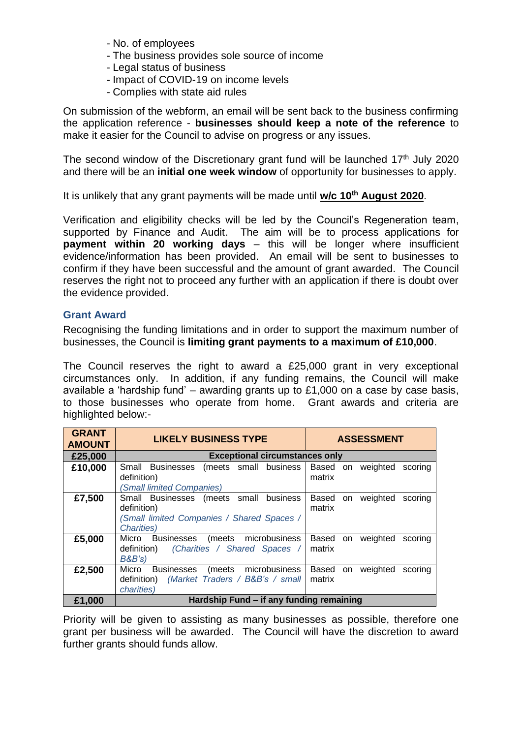- No. of employees
- The business provides sole source of income
- Legal status of business
- Impact of COVID-19 on income levels
- Complies with state aid rules

On submission of the webform, an email will be sent back to the business confirming the application reference - **businesses should keep a note of the reference** to make it easier for the Council to advise on progress or any issues.

The second window of the Discretionary grant fund will be launched  $17<sup>th</sup>$  July 2020 and there will be an **initial one week window** of opportunity for businesses to apply.

It is unlikely that any grant payments will be made until **w/c 10th August 2020**.

Verification and eligibility checks will be led by the Council's Regeneration team, supported by Finance and Audit. The aim will be to process applications for **payment within 20 working days** – this will be longer where insufficient evidence/information has been provided. An email will be sent to businesses to confirm if they have been successful and the amount of grant awarded. The Council reserves the right not to proceed any further with an application if there is doubt over the evidence provided.

## **Grant Award**

Recognising the funding limitations and in order to support the maximum number of businesses, the Council is **limiting grant payments to a maximum of £10,000**.

The Council reserves the right to award a £25,000 grant in very exceptional circumstances only. In addition, if any funding remains, the Council will make available a 'hardship fund' – awarding grants up to £1,000 on a case by case basis, to those businesses who operate from home. Grant awards and criteria are highlighted below:-

| <b>GRANT</b><br><b>AMOUNT</b> | <b>LIKELY BUSINESS TYPE</b>                                                                                                  | <b>ASSESSMENT</b>                                   |
|-------------------------------|------------------------------------------------------------------------------------------------------------------------------|-----------------------------------------------------|
| £25,000                       | <b>Exceptional circumstances only</b>                                                                                        |                                                     |
| £10,000                       | Small Businesses<br>(meets small business<br>definition)<br>(Small limited Companies)                                        | weighted<br>Based<br>scoring<br>on<br>matrix        |
| £7,500                        | business<br>Small Businesses (meets small<br>definition)<br>(Small limited Companies / Shared Spaces /<br><b>Charities</b> ) | Based<br>weighted<br><b>on</b><br>scoring<br>matrix |
| £5,000                        | microbusiness<br>Micro<br><b>Businesses</b><br>(meets<br>(Charities / Shared Spaces /<br>definition)<br>B&B's                | Based<br>weighted<br>scoring<br>on<br>matrix        |
| £2,500                        | microbusiness<br>Micro<br>(meets<br><b>Businesses</b><br>(Market Traders / B&B's / small<br>definition)<br>charities)        | Based<br>weighted<br>on<br>scoring<br>matrix        |
| £1,000                        | Hardship Fund – if any funding remaining                                                                                     |                                                     |

Priority will be given to assisting as many businesses as possible, therefore one grant per business will be awarded. The Council will have the discretion to award further grants should funds allow.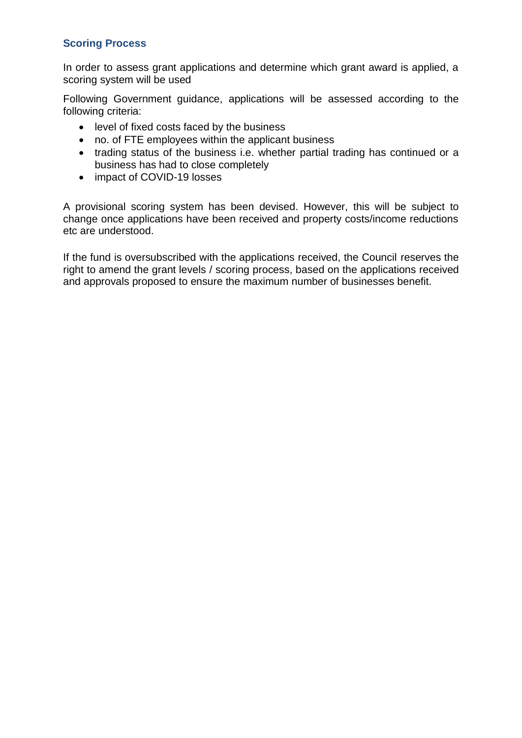# **Scoring Process**

In order to assess grant applications and determine which grant award is applied, a scoring system will be used

Following Government guidance, applications will be assessed according to the following criteria:

- level of fixed costs faced by the business
- no. of FTE employees within the applicant business
- trading status of the business i.e. whether partial trading has continued or a business has had to close completely
- impact of COVID-19 losses

A provisional scoring system has been devised. However, this will be subject to change once applications have been received and property costs/income reductions etc are understood.

If the fund is oversubscribed with the applications received, the Council reserves the right to amend the grant levels / scoring process, based on the applications received and approvals proposed to ensure the maximum number of businesses benefit.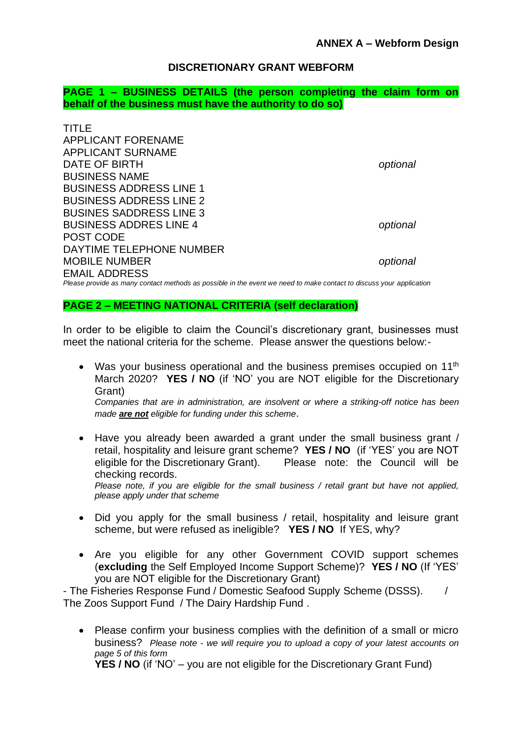# **DISCRETIONARY GRANT WEBFORM**

**PAGE 1 – BUSINESS DETAILS (the person completing the claim form on behalf of the business must have the authority to do so)**

| TITLE                                                                                                               |          |
|---------------------------------------------------------------------------------------------------------------------|----------|
| <b>APPLICANT FORENAME</b>                                                                                           |          |
| <b>APPLICANT SURNAME</b>                                                                                            |          |
| DATE OF BIRTH                                                                                                       | optional |
| <b>BUSINESS NAME</b>                                                                                                |          |
| <b>BUSINESS ADDRESS LINE 1</b>                                                                                      |          |
| <b>BUSINESS ADDRESS LINE 2</b>                                                                                      |          |
| <b>BUSINES SADDRESS LINE 3</b>                                                                                      |          |
| <b>BUSINESS ADDRES LINE 4</b>                                                                                       | optional |
| POST CODE                                                                                                           |          |
| DAYTIME TELEPHONE NUMBER                                                                                            |          |
| <b>MOBILE NUMBER</b>                                                                                                | optional |
| <b>EMAIL ADDRESS</b>                                                                                                |          |
| Please provide as many contact methods as possible in the event we need to make contact to discuss your application |          |

#### **PAGE 2 – MEETING NATIONAL CRITERIA (self declaration)**

In order to be eligible to claim the Council's discretionary grant, businesses must meet the national criteria for the scheme. Please answer the questions below:-

- Was your business operational and the business premises occupied on 11<sup>th</sup> March 2020? **YES / NO** (if 'NO' you are NOT eligible for the Discretionary Grant) *Companies that are in administration, are insolvent or where a striking-off notice has been made are not eligible for funding under this scheme*.
- Have you already been awarded a grant under the small business grant / retail, hospitality and leisure grant scheme? **YES / NO** (if 'YES' you are NOT eligible for the Discretionary Grant). Please note: the Council will be checking records. *Please note, if you are eligible for the small business / retail grant but have not applied,*

*please apply under that scheme*

- Did you apply for the small business / retail, hospitality and leisure grant scheme, but were refused as ineligible? **YES / NO** If YES, why?
- Are you eligible for any other Government COVID support schemes (**excluding** the Self Employed Income Support Scheme)? **YES / NO** (If 'YES' you are NOT eligible for the Discretionary Grant)

- The Fisheries Response Fund / Domestic Seafood Supply Scheme (DSSS). / The Zoos Support Fund / The Dairy Hardship Fund .

• Please confirm your business complies with the definition of a small or micro business? *Please note - we will require you to upload a copy of your latest accounts on page 5 of this form*

**YES / NO** (if 'NO' – you are not eligible for the Discretionary Grant Fund)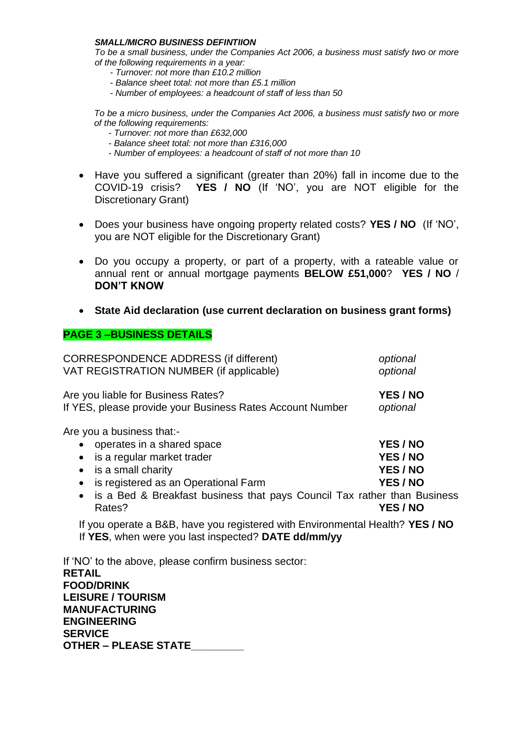#### *SMALL/MICRO BUSINESS DEFINTIION*

*To be a small business, under the Companies Act 2006, a business must satisfy two or more of the following requirements in a year:* 

- *- Turnover: not more than £10.2 million*
- *- Balance sheet total: not more than £5.1 million*
- *- Number of employees: a headcount of staff of less than 50*

*To be a micro business, under the Companies Act 2006, a business must satisfy two or more of the following requirements:* 

- *- Turnover: not more than £632,000*
- *- Balance sheet total: not more than £316,000*
- *- Number of employees: a headcount of staff of not more than 10*
- Have you suffered a significant (greater than 20%) fall in income due to the COVID-19 crisis? **YES / NO** (If 'NO', you are NOT eligible for the Discretionary Grant)
- Does your business have ongoing property related costs? **YES / NO** (If 'NO', you are NOT eligible for the Discretionary Grant)
- Do you occupy a property, or part of a property, with a rateable value or annual rent or annual mortgage payments **BELOW £51,000**? **YES / NO** / **DON'T KNOW**
- **State Aid declaration (use current declaration on business grant forms)**

## **PAGE 3 –BUSINESS DETAILS**

| <b>CORRESPONDENCE ADDRESS (if different)</b>                                                                                                                                                                                                                                                                                                                                                                                                       | optional                                                        |
|----------------------------------------------------------------------------------------------------------------------------------------------------------------------------------------------------------------------------------------------------------------------------------------------------------------------------------------------------------------------------------------------------------------------------------------------------|-----------------------------------------------------------------|
| VAT REGISTRATION NUMBER (if applicable)                                                                                                                                                                                                                                                                                                                                                                                                            | optional                                                        |
| Are you liable for Business Rates?                                                                                                                                                                                                                                                                                                                                                                                                                 | YES / NO                                                        |
| If YES, please provide your Business Rates Account Number                                                                                                                                                                                                                                                                                                                                                                                          | optional                                                        |
| Are you a business that:-<br>operates in a shared space<br>$\bullet$<br>is a regular market trader<br>$\bullet$<br>is a small charity<br>$\bullet$<br>is registered as an Operational Farm<br>$\bullet$<br>is a Bed & Breakfast business that pays Council Tax rather than Business<br>$\bullet$<br>Rates?<br>If you operate a B&B, have you registered with Environmental Health? YES / NO<br>If YES, when were you last inspected? DATE dd/mm/yy | YES / NO<br>YES / NO<br>YES / NO<br>YES / NO<br><b>YES / NO</b> |
| If 'NO' to the above, please confirm business sector:<br><b>RETAIL</b><br><b>FOOD/DRINK</b>                                                                                                                                                                                                                                                                                                                                                        |                                                                 |

**LEISURE / TOURISM MANUFACTURING ENGINEERING SERVICE OTHER – PLEASE STATE\_\_\_\_\_\_\_\_\_**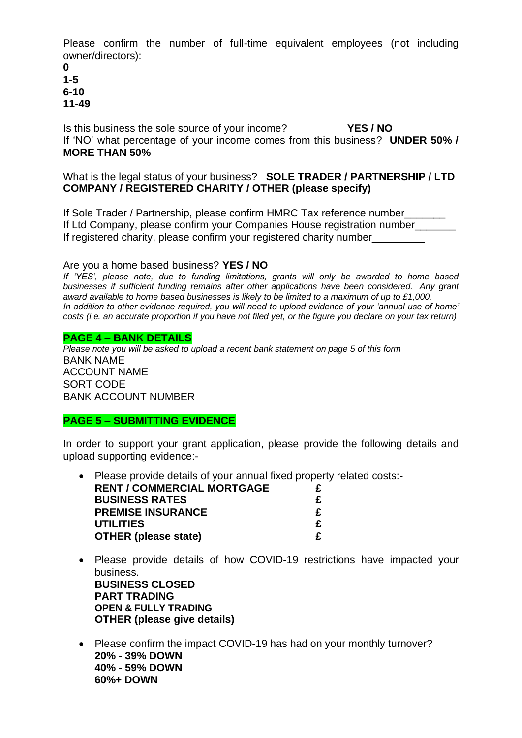Please confirm the number of full-time equivalent employees (not including owner/directors):

**0 1-5 6-10 11-49**

Is this business the sole source of your income? **YES / NO** If 'NO' what percentage of your income comes from this business? **UNDER 50% / MORE THAN 50%**

# What is the legal status of your business? **SOLE TRADER / PARTNERSHIP / LTD COMPANY / REGISTERED CHARITY / OTHER (please specify)**

If Sole Trader / Partnership, please confirm HMRC Tax reference number\_\_\_\_\_\_\_ If Ltd Company, please confirm your Companies House registration number If registered charity, please confirm your registered charity number

Are you a home based business? **YES / NO**

*If 'YES', please note, due to funding limitations, grants will only be awarded to home based businesses if sufficient funding remains after other applications have been considered. Any grant award available to home based businesses is likely to be limited to a maximum of up to £1,000. In addition to other evidence required, you will need to upload evidence of your 'annual use of home' costs (i.e. an accurate proportion if you have not filed yet, or the figure you declare on your tax return)*

### **PAGE 4 – BANK DETAILS**

*Please note you will be asked to upload a recent bank statement on page 5 of this form* BANK NAME ACCOUNT NAME SORT CODE BANK ACCOUNT NUMBER

# **PAGE 5 – SUBMITTING EVIDENCE**

In order to support your grant application, please provide the following details and upload supporting evidence:-

- Please provide details of your annual fixed property related costs:- **RENT / COMMERCIAL MORTGAGE**  $\begin{array}{ccc} \epsilon \\ \epsilon \\ \epsilon \end{array}$ **BUSINESS RATES £ PREMISE INSURANCE £ UTILITIES £ OTHER (please state) £**
- Please provide details of how COVID-19 restrictions have impacted your business. **BUSINESS CLOSED PART TRADING OPEN & FULLY TRADING OTHER (please give details)**
- Please confirm the impact COVID-19 has had on your monthly turnover? **20% - 39% DOWN 40% - 59% DOWN 60%+ DOWN**